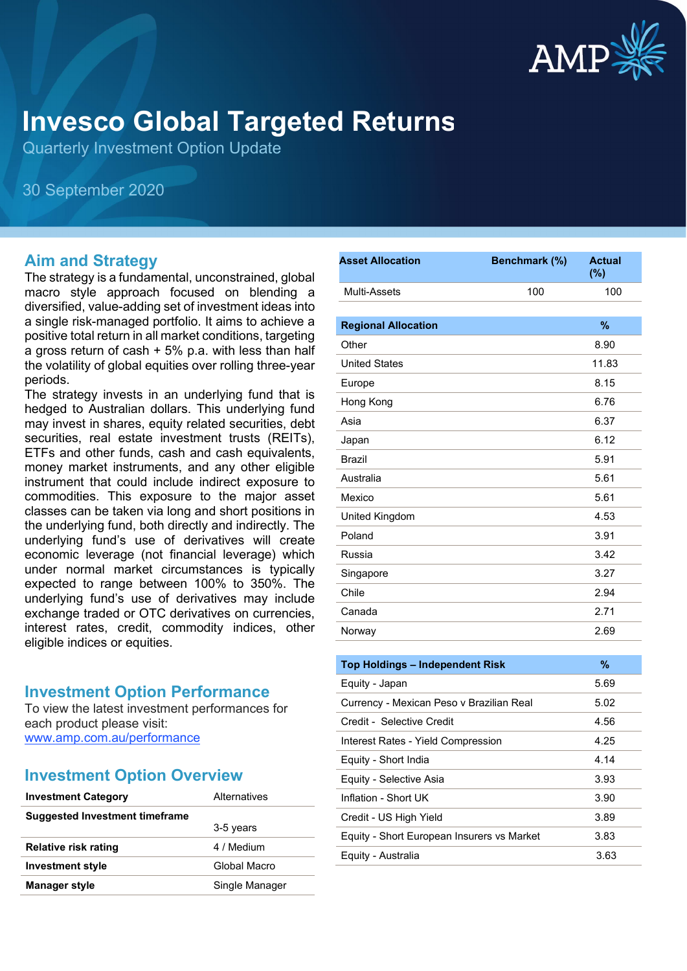

# **Invesco Global Targeted Returns**

Quarterly Investment Option Update

30 September 2020

#### **Aim and Strategy**

The strategy is a fundamental, unconstrained, global macro style approach focused on blending a diversified, value-adding set of investment ideas into a single risk-managed portfolio. It aims to achieve a positive total return in all market conditions, targeting a gross return of cash  $+5\%$  p.a. with less than half the volatility of global equities over rolling three-year periods.

The strategy invests in an underlying fund that is hedged to Australian dollars. This underlying fund may invest in shares, equity related securities, debt securities, real estate investment trusts (REITs), ETFs and other funds, cash and cash equivalents, money market instruments, and any other eligible instrument that could include indirect exposure to commodities. This exposure to the major asset classes can be taken via long and short positions in the underlying fund, both directly and indirectly. The underlying fund's use of derivatives will create economic leverage (not financial leverage) which under normal market circumstances is typically expected to range between 100% to 350%. The underlying fund's use of derivatives may include exchange traded or OTC derivatives on currencies, interest rates, credit, commodity indices, other eligible indices or equities.

#### **Investment Option Performance**

To view the latest investment performances for each product please visit: [www.amp.com.au/performance](https://www.amp.com.au/performance)

#### **Investment Option Overview**

| <b>Investment Category</b>            | Alternatives   |
|---------------------------------------|----------------|
| <b>Suggested Investment timeframe</b> |                |
|                                       | 3-5 years      |
| Relative risk rating                  | 4 / Medium     |
| <b>Investment style</b>               | Global Macro   |
| <b>Manager style</b>                  | Single Manager |
|                                       |                |

| <b>Asset Allocation</b>    | Benchmark (%) | <b>Actual</b><br>(%) |
|----------------------------|---------------|----------------------|
| Multi-Assets               | 100           | 100                  |
|                            |               |                      |
| <b>Regional Allocation</b> |               | $\frac{9}{6}$        |
| Other                      |               | 8.90                 |
| <b>United States</b>       |               | 11.83                |
| Europe                     |               | 8.15                 |
| Hong Kong                  |               | 6.76                 |
| Asia                       |               | 6.37                 |
| Japan                      |               | 6.12                 |
| <b>Brazil</b>              |               | 5.91                 |
| Australia                  |               | 5.61                 |
| Mexico                     |               | 5.61                 |
| United Kingdom             |               | 4.53                 |
| Poland                     |               | 3.91                 |
| Russia                     |               | 3.42                 |
| Singapore                  |               | 3.27                 |
| Chile                      |               | 2.94                 |
| Canada                     |               | 2.71                 |
| Norway                     |               | 2.69                 |
|                            |               |                      |

| <b>Top Holdings - Independent Risk</b>     | $\%$ |
|--------------------------------------------|------|
| Equity - Japan                             | 5.69 |
| Currency - Mexican Peso v Brazilian Real   | 5.02 |
| Credit - Selective Credit                  | 4.56 |
| Interest Rates - Yield Compression         | 4.25 |
| Equity - Short India                       | 4.14 |
| Equity - Selective Asia                    | 3.93 |
| Inflation - Short UK                       | 3.90 |
| Credit - US High Yield                     | 3.89 |
| Equity - Short European Insurers vs Market | 3.83 |
| Equity - Australia                         | 3.63 |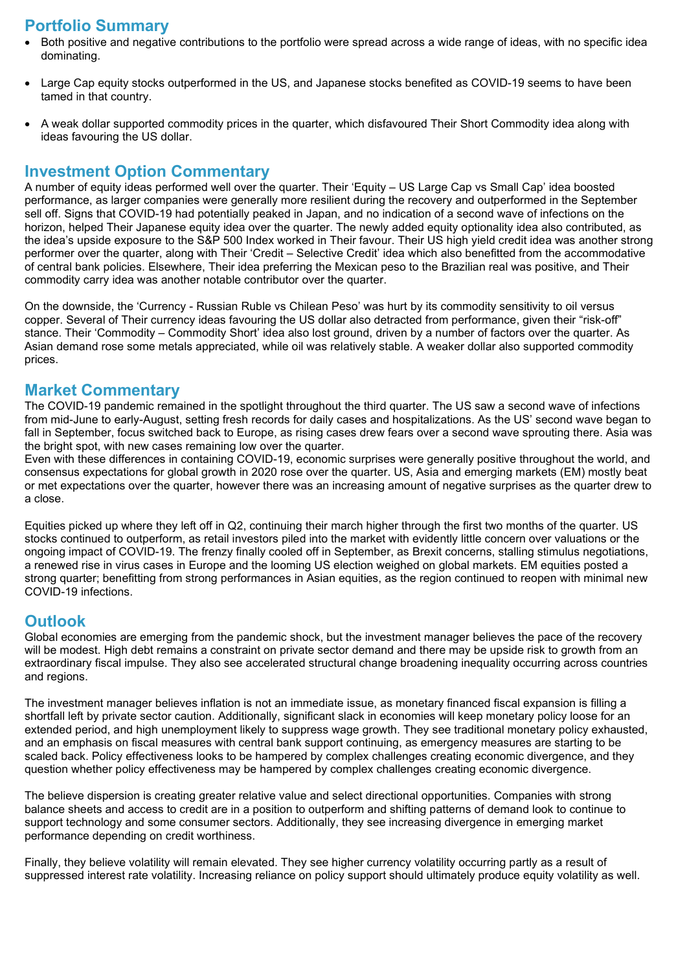# **Portfolio Summary**

- Both positive and negative contributions to the portfolio were spread across a wide range of ideas, with no specific idea dominating.
- Large Cap equity stocks outperformed in the US, and Japanese stocks benefited as COVID-19 seems to have been tamed in that country.
- A weak dollar supported commodity prices in the quarter, which disfavoured Their Short Commodity idea along with ideas favouring the US dollar.

## **Investment Option Commentary**

A number of equity ideas performed well over the quarter. Their 'Equity – US Large Cap vs Small Cap' idea boosted performance, as larger companies were generally more resilient during the recovery and outperformed in the September sell off. Signs that COVID-19 had potentially peaked in Japan, and no indication of a second wave of infections on the horizon, helped Their Japanese equity idea over the quarter. The newly added equity optionality idea also contributed, as the idea's upside exposure to the S&P 500 Index worked in Their favour. Their US high yield credit idea was another strong performer over the quarter, along with Their 'Credit – Selective Credit' idea which also benefitted from the accommodative of central bank policies. Elsewhere, Their idea preferring the Mexican peso to the Brazilian real was positive, and Their commodity carry idea was another notable contributor over the quarter.

On the downside, the 'Currency - Russian Ruble vs Chilean Peso' was hurt by its commodity sensitivity to oil versus copper. Several of Their currency ideas favouring the US dollar also detracted from performance, given their "risk-off" stance. Their 'Commodity – Commodity Short' idea also lost ground, driven by a number of factors over the quarter. As Asian demand rose some metals appreciated, while oil was relatively stable. A weaker dollar also supported commodity prices.

#### **Market Commentary**

The COVID-19 pandemic remained in the spotlight throughout the third quarter. The US saw a second wave of infections from mid-June to early-August, setting fresh records for daily cases and hospitalizations. As the US' second wave began to fall in September, focus switched back to Europe, as rising cases drew fears over a second wave sprouting there. Asia was the bright spot, with new cases remaining low over the quarter.

Even with these differences in containing COVID-19, economic surprises were generally positive throughout the world, and consensus expectations for global growth in 2020 rose over the quarter. US, Asia and emerging markets (EM) mostly beat or met expectations over the quarter, however there was an increasing amount of negative surprises as the quarter drew to a close.

Equities picked up where they left off in Q2, continuing their march higher through the first two months of the quarter. US stocks continued to outperform, as retail investors piled into the market with evidently little concern over valuations or the ongoing impact of COVID-19. The frenzy finally cooled off in September, as Brexit concerns, stalling stimulus negotiations, a renewed rise in virus cases in Europe and the looming US election weighed on global markets. EM equities posted a strong quarter; benefitting from strong performances in Asian equities, as the region continued to reopen with minimal new COVID-19 infections.

#### **Outlook**

Global economies are emerging from the pandemic shock, but the investment manager believes the pace of the recovery will be modest. High debt remains a constraint on private sector demand and there may be upside risk to growth from an extraordinary fiscal impulse. They also see accelerated structural change broadening inequality occurring across countries and regions.

The investment manager believes inflation is not an immediate issue, as monetary financed fiscal expansion is filling a shortfall left by private sector caution. Additionally, significant slack in economies will keep monetary policy loose for an extended period, and high unemployment likely to suppress wage growth. They see traditional monetary policy exhausted, and an emphasis on fiscal measures with central bank support continuing, as emergency measures are starting to be scaled back. Policy effectiveness looks to be hampered by complex challenges creating economic divergence, and they question whether policy effectiveness may be hampered by complex challenges creating economic divergence.

The believe dispersion is creating greater relative value and select directional opportunities. Companies with strong balance sheets and access to credit are in a position to outperform and shifting patterns of demand look to continue to support technology and some consumer sectors. Additionally, they see increasing divergence in emerging market performance depending on credit worthiness.

Finally, they believe volatility will remain elevated. They see higher currency volatility occurring partly as a result of suppressed interest rate volatility. Increasing reliance on policy support should ultimately produce equity volatility as well.